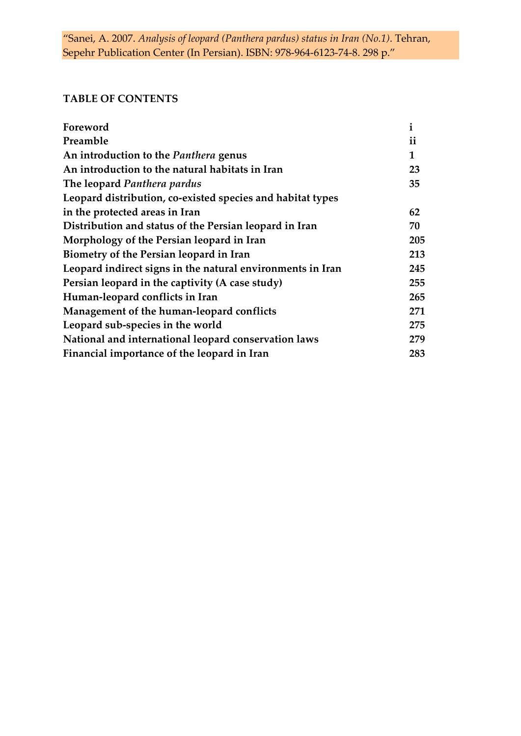## **TABLE OF CONTENTS**

| Foreword                                                   | $\mathbf{1}$ |
|------------------------------------------------------------|--------------|
| Preamble                                                   | ii           |
| An introduction to the Panthera genus                      | 1            |
| An introduction to the natural habitats in Iran            | 23           |
| The leopard Panthera pardus                                | 35           |
| Leopard distribution, co-existed species and habitat types |              |
| in the protected areas in Iran                             | 62           |
| Distribution and status of the Persian leopard in Iran     | 70           |
| Morphology of the Persian leopard in Iran                  | 205          |
| Biometry of the Persian leopard in Iran                    | 213          |
| Leopard indirect signs in the natural environments in Iran | 245          |
| Persian leopard in the captivity (A case study)            | 255          |
| Human-leopard conflicts in Iran                            | 265          |
| Management of the human-leopard conflicts                  | 271          |
| Leopard sub-species in the world                           | 275          |
| National and international leopard conservation laws       | 279          |
| Financial importance of the leopard in Iran                | 283          |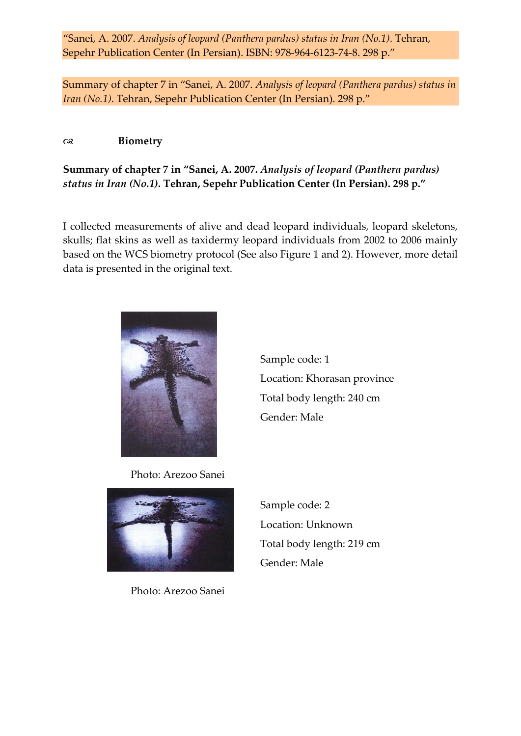Summary of chapter 7 in "Sanei, A. 2007. *Analysis of leopard (Panthera pardus) status in Iran (No.1)*. Tehran, Sepehr Publication Center (In Persian). 298 p."

## **Biometry**

## **Summary of chapter 7 in "Sanei, A. 2007.** *Analysis of leopard (Panthera pardus) status in Iran (No.1)***. Tehran, Sepehr Publication Center (In Persian). 298 p."**

I collected measurements of alive and dead leopard individuals, leopard skeletons, skulls; flat skins as well as taxidermy leopard individuals from 2002 to 2006 mainly based on the WCS biometry protocol (See also Figure 1 and 2). However, more detail data is presented in the original text.



Sample code: 1 Location: Khorasan province Total body length: 240 cm Gender: Male

Photo: Arezoo Sanei



Photo: Arezoo Sanei

Sample code: 2 Location: Unknown Total body length: 219 cm Gender: Male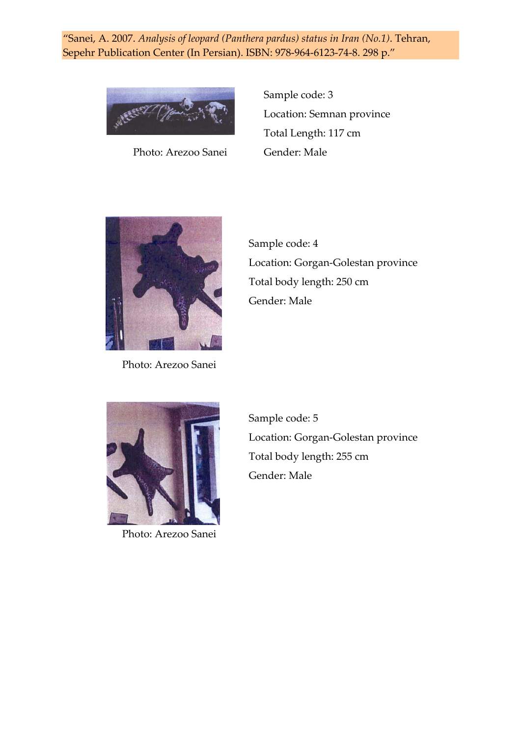

Photo: Arezoo Sanei Gender: Male

Sample code: 3 Location: Semnan province Total Length: 117 cm



Photo: Arezoo Sanei

Sample code: 4 Location: Gorgan‐Golestan province Total body length: 250 cm Gender: Male



Photo: Arezoo Sanei

Sample code: 5 Location: Gorgan‐Golestan province Total body length: 255 cm Gender: Male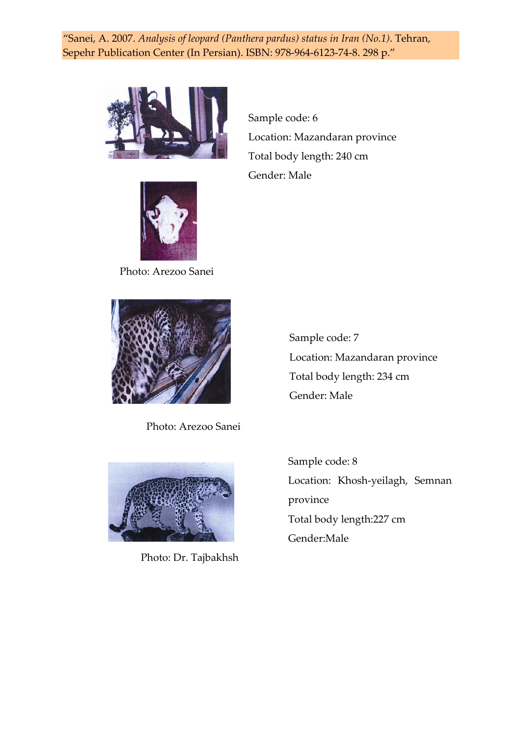



Sample code: 6 Location: Mazandaran province Total body length: 240 cm Gender: Male

Photo: Arezoo Sanei



Photo: Arezoo Sanei



Photo: Dr. Tajbakhsh

Sample code: 7 Location: Mazandaran province Total body length: 234 cm Gender: Male

Sample code: 8 Location: Khosh‐yeilagh, Semnan province Total body length:227 cm Gender:Male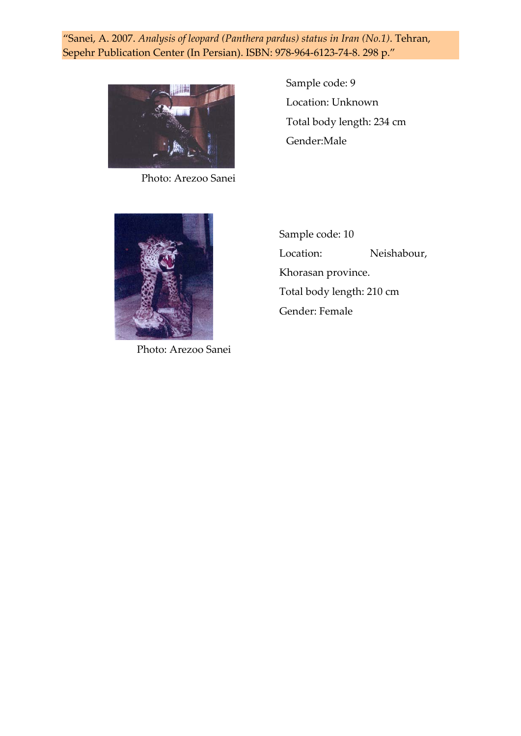

Photo: Arezoo Sanei

Sample code: 9 Location: Unknown Total body length: 234 cm Gender:Male



Photo: Arezoo Sanei

Sample code: 10 Location: Neishabour, Khorasan province. Total body length: 210 cm Gender: Female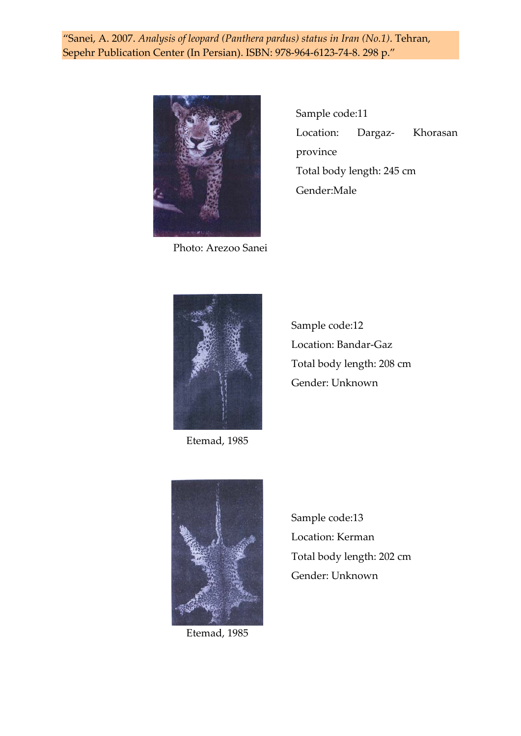

Photo: Arezoo Sanei

Sample code:11 Location: Dargaz- Khorasan province Total body length: 245 cm Gender:Male



Etemad, 1985

Sample code:12 Location: Bandar‐Gaz Total body length: 208 cm Gender: Unknown



Etemad, 1985

Sample code:13 Location: Kerman Total body length: 202 cm Gender: Unknown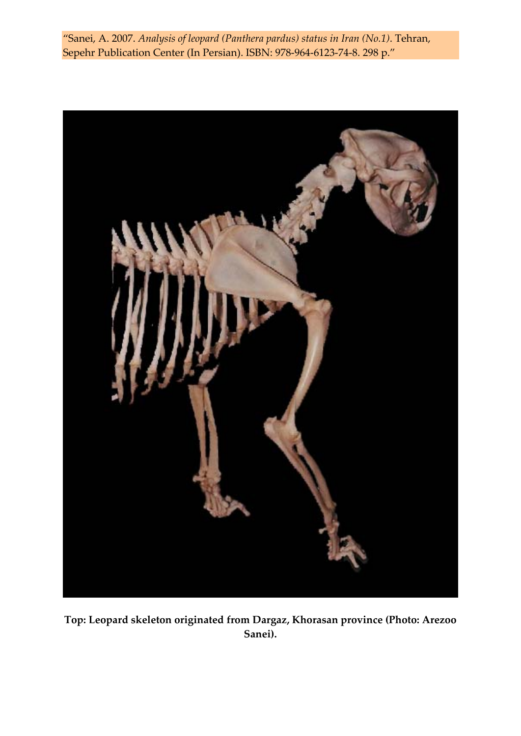

**Top: Leopard skeleton originated from Dargaz, Khorasan province (Photo: Arezoo Sanei).**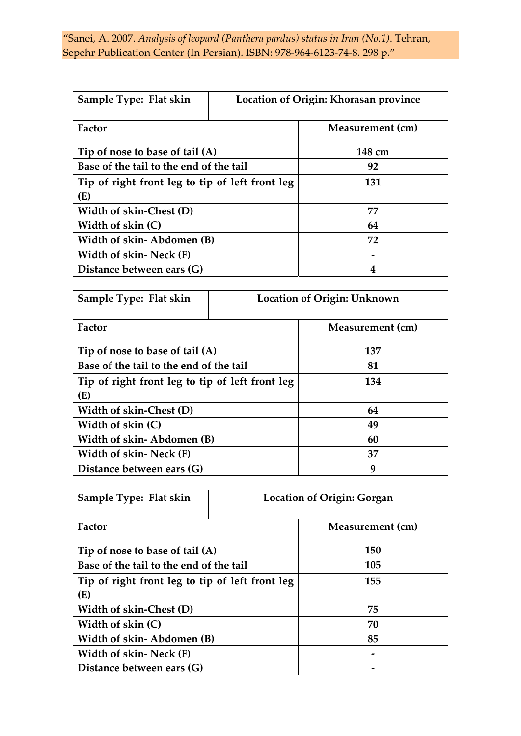| Sample Type: Flat skin                          | Location of Origin: Khorasan province |
|-------------------------------------------------|---------------------------------------|
| Factor                                          | Measurement (cm)                      |
| Tip of nose to base of tail (A)                 | 148 cm                                |
| Base of the tail to the end of the tail         | 92                                    |
| Tip of right front leg to tip of left front leg | 131                                   |
| (E)                                             |                                       |
| Width of skin-Chest (D)                         | 77                                    |
| Width of skin (C)                               | 64                                    |
| Width of skin-Abdomen (B)                       | 72                                    |
| Width of skin-Neck (F)                          |                                       |
| Distance between ears (G)                       | 4                                     |

| Sample Type: Flat skin                          | Location of Origin: Unknown |                  |
|-------------------------------------------------|-----------------------------|------------------|
| Factor                                          |                             | Measurement (cm) |
| Tip of nose to base of tail (A)                 |                             | 137              |
| Base of the tail to the end of the tail         |                             | 81               |
| Tip of right front leg to tip of left front leg |                             | 134              |
| (E)                                             |                             |                  |
| Width of skin-Chest (D)                         |                             | 64               |
| Width of skin (C)                               |                             | 49               |
| Width of skin-Abdomen (B)                       |                             | 60               |
| Width of skin-Neck (F)                          |                             | 37               |
| Distance between ears (G)                       |                             | 9                |

| Sample Type: Flat skin                          | <b>Location of Origin: Gorgan</b> |                  |
|-------------------------------------------------|-----------------------------------|------------------|
| Factor                                          |                                   | Measurement (cm) |
| Tip of nose to base of tail (A)                 |                                   | 150              |
| Base of the tail to the end of the tail         |                                   | 105              |
| Tip of right front leg to tip of left front leg |                                   | 155              |
| (E)                                             |                                   |                  |
| Width of skin-Chest (D)                         |                                   | 75               |
| Width of skin (C)                               |                                   | 70               |
| Width of skin-Abdomen (B)                       |                                   | 85               |
| Width of skin-Neck (F)                          |                                   |                  |
| Distance between ears (G)                       |                                   |                  |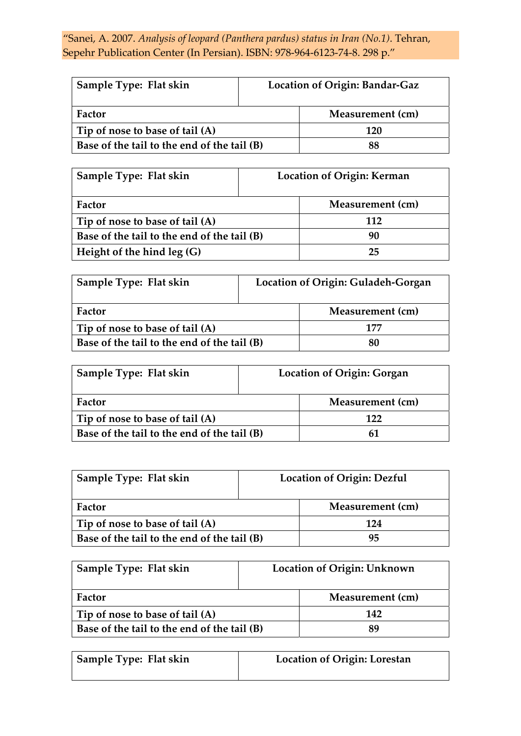| Sample Type: Flat skin                      | Location of Origin: Bandar-Gaz |
|---------------------------------------------|--------------------------------|
| Factor                                      | Measurement (cm)               |
| Tip of nose to base of tail (A)             | 120                            |
| Base of the tail to the end of the tail (B) |                                |

| Sample Type: Flat skin                      | Location of Origin: Kerman |
|---------------------------------------------|----------------------------|
| Factor                                      | Measurement (cm)           |
| Tip of nose to base of tail (A)             | 112                        |
| Base of the tail to the end of the tail (B) | 90                         |
| Height of the hind leg (G)                  | 25                         |

| Sample Type: Flat skin                      | Location of Origin: Guladeh-Gorgan |                  |
|---------------------------------------------|------------------------------------|------------------|
| Factor                                      |                                    | Measurement (cm) |
| Tip of nose to base of tail (A)             |                                    | 177              |
| Base of the tail to the end of the tail (B) |                                    | 80               |

| Sample Type: Flat skin                      | <b>Location of Origin: Gorgan</b> |                  |
|---------------------------------------------|-----------------------------------|------------------|
| Factor                                      |                                   | Measurement (cm) |
| Tip of nose to base of tail (A)             |                                   | 177              |
| Base of the tail to the end of the tail (B) |                                   |                  |

| Sample Type: Flat skin                      | <b>Location of Origin: Dezful</b> |                  |
|---------------------------------------------|-----------------------------------|------------------|
| Factor                                      |                                   | Measurement (cm) |
| Tip of nose to base of tail (A)             |                                   | 174              |
| Base of the tail to the end of the tail (B) |                                   | 95               |

| Sample Type: Flat skin                      | Location of Origin: Unknown |                  |
|---------------------------------------------|-----------------------------|------------------|
| Factor                                      |                             | Measurement (cm) |
| Tip of nose to base of tail (A)             |                             | 142              |
| Base of the tail to the end of the tail (B) |                             | 89               |

| Sample Type: Flat skin | <b>Location of Origin: Lorestan</b> |
|------------------------|-------------------------------------|
|                        |                                     |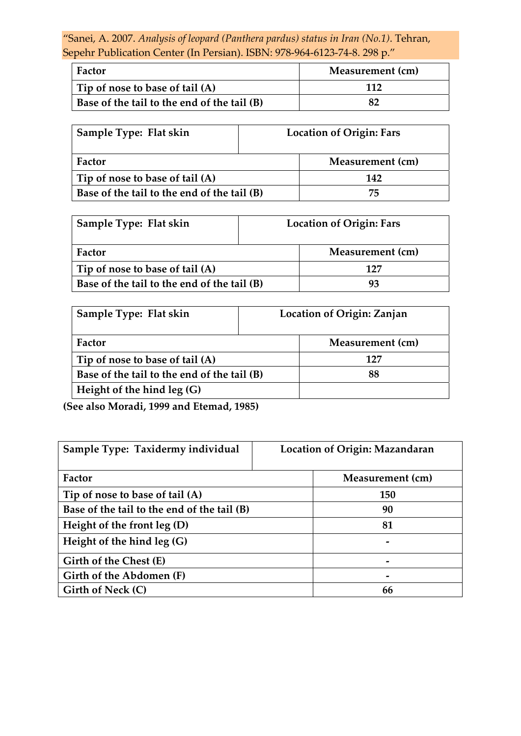| Factor                                      | Measurement (cm) |
|---------------------------------------------|------------------|
| Tip of nose to base of tail (A)             | 117              |
| Base of the tail to the end of the tail (B) |                  |

| Sample Type: Flat skin                      | <b>Location of Origin: Fars</b> |                  |  |
|---------------------------------------------|---------------------------------|------------------|--|
| Factor                                      |                                 | Measurement (cm) |  |
| Tip of nose to base of tail (A)             |                                 | 142              |  |
| Base of the tail to the end of the tail (B) |                                 | 75               |  |

| Sample Type: Flat skin                      | <b>Location of Origin: Fars</b> |                  |
|---------------------------------------------|---------------------------------|------------------|
| Factor                                      |                                 | Measurement (cm) |
| Tip of nose to base of tail (A)             |                                 | 127              |
| Base of the tail to the end of the tail (B) |                                 |                  |

| Sample Type: Flat skin                      | Location of Origin: Zanjan |                  |
|---------------------------------------------|----------------------------|------------------|
| Factor                                      |                            | Measurement (cm) |
| Tip of nose to base of tail (A)             |                            |                  |
| Base of the tail to the end of the tail (B) |                            | 88               |
| Height of the hind leg (G)                  |                            |                  |

**(See also Moradi, 1999 and Etemad, 1985)**

| Sample Type: Taxidermy individual           | Location of Origin: Mazandaran |  |
|---------------------------------------------|--------------------------------|--|
| Factor                                      | Measurement (cm)               |  |
| Tip of nose to base of tail (A)             | <b>150</b>                     |  |
| Base of the tail to the end of the tail (B) | 90                             |  |
| Height of the front $leg(D)$                | 81                             |  |
| Height of the hind $leg(G)$                 |                                |  |
| Girth of the Chest (E)                      |                                |  |
| Girth of the Abdomen (F)                    |                                |  |
| Girth of Neck (C)                           | 66                             |  |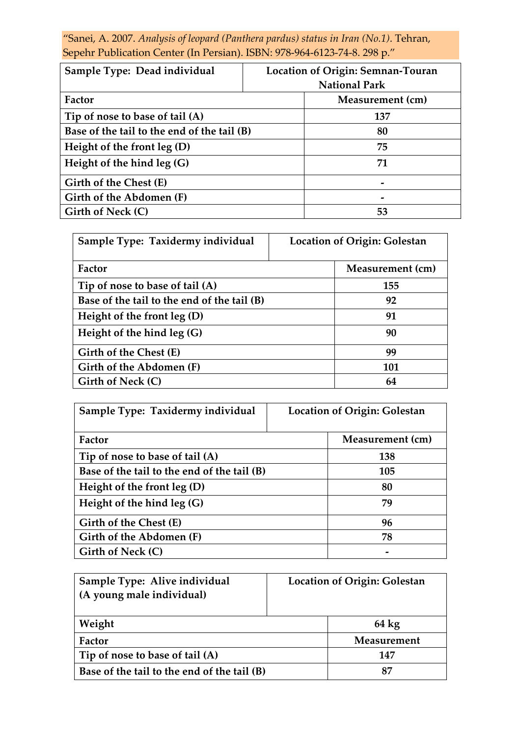"Sanei, A. 2007. *Analysis of leopard (Panthera pardus) status in Iran (No.1)*. Tehran, Sepehr Publication Center (In Persian). ISBN: 978-964-6123-74-8. 298 p."

| Sample Type: Dead individual                | Location of Origin: Semnan-Touran<br><b>National Park</b> |  |
|---------------------------------------------|-----------------------------------------------------------|--|
| Factor                                      | Measurement (cm)                                          |  |
| Tip of nose to base of tail (A)             | 137                                                       |  |
| Base of the tail to the end of the tail (B) | 80                                                        |  |
| Height of the front $leg(D)$                | 75                                                        |  |
| Height of the hind $leg(G)$                 | 71                                                        |  |
| Girth of the Chest (E)                      |                                                           |  |
| Girth of the Abdomen (F)                    |                                                           |  |
| Girth of Neck (C)                           | 53                                                        |  |

| Sample Type: Taxidermy individual           | <b>Location of Origin: Golestan</b> |                  |
|---------------------------------------------|-------------------------------------|------------------|
| Factor                                      |                                     | Measurement (cm) |
| Tip of nose to base of tail (A)             |                                     | 155              |
| Base of the tail to the end of the tail (B) |                                     | 92               |
| Height of the front $leg(D)$                |                                     | 91               |
| Height of the hind $leg(G)$                 |                                     | 90               |
| Girth of the Chest (E)                      |                                     | 99               |
| Girth of the Abdomen (F)                    |                                     | 101              |
| Girth of Neck (C)                           |                                     | 64               |

| Sample Type: Taxidermy individual           | <b>Location of Origin: Golestan</b> |                  |
|---------------------------------------------|-------------------------------------|------------------|
| Factor                                      |                                     | Measurement (cm) |
| Tip of nose to base of tail (A)             |                                     | 138              |
| Base of the tail to the end of the tail (B) |                                     | 105              |
| Height of the front $leg(D)$                |                                     | 80               |
| Height of the hind $leg(G)$                 |                                     | 79               |
| Girth of the Chest (E)                      |                                     | 96               |
| Girth of the Abdomen (F)                    |                                     | 78               |
| Girth of Neck (C)                           |                                     |                  |

| Sample Type: Alive individual               | <b>Location of Origin: Golestan</b> |                 |
|---------------------------------------------|-------------------------------------|-----------------|
| (A young male individual)                   |                                     |                 |
|                                             |                                     |                 |
| Weight                                      |                                     | $64 \text{ kg}$ |
| Factor                                      |                                     | Measurement     |
| Tip of nose to base of tail (A)             |                                     | 147             |
| Base of the tail to the end of the tail (B) |                                     | 87              |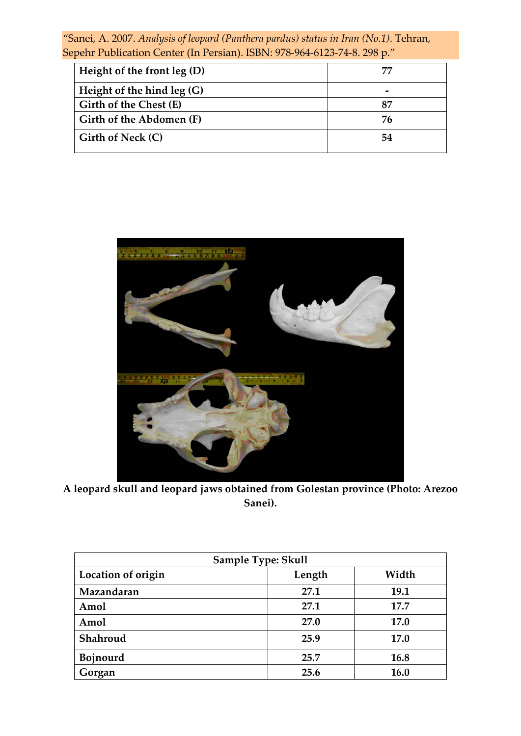| Height of the front $leg(D)$ | 75 |
|------------------------------|----|
| Height of the hind $leg(G)$  |    |
| Girth of the Chest (E)       | 87 |
| Girth of the Abdomen (F)     | 76 |
| Girth of Neck (C)            | 54 |



**A leopard skull and leopard jaws obtained from Golestan province (Photo: Arezoo Sanei).**

| Sample Type: Skull |        |       |
|--------------------|--------|-------|
| Location of origin | Length | Width |
| Mazandaran         | 27.1   | 19.1  |
| Amol               | 27.1   | 17.7  |
| Amol               | 27.0   | 17.0  |
| Shahroud           | 25.9   | 17.0  |
| <b>Bojnourd</b>    | 25.7   | 16.8  |
| Gorgan             | 25.6   | 16.0  |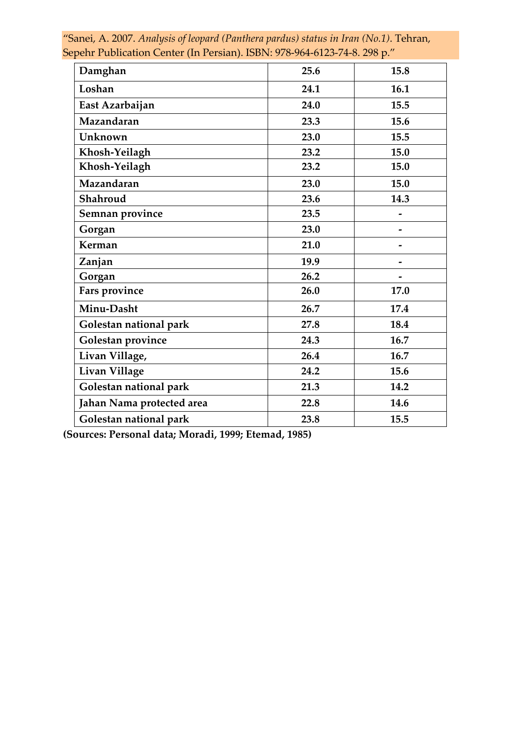| Damghan                   | 25.6 | 15.8 |
|---------------------------|------|------|
| Loshan                    | 24.1 | 16.1 |
| East Azarbaijan           | 24.0 | 15.5 |
| Mazandaran                | 23.3 | 15.6 |
| Unknown                   | 23.0 | 15.5 |
| Khosh-Yeilagh             | 23.2 | 15.0 |
| Khosh-Yeilagh             | 23.2 | 15.0 |
| Mazandaran                | 23.0 | 15.0 |
| Shahroud                  | 23.6 | 14.3 |
| Semnan province           | 23.5 |      |
| Gorgan                    | 23.0 | -    |
| Kerman                    | 21.0 |      |
| Zanjan                    | 19.9 |      |
| Gorgan                    | 26.2 |      |
| Fars province             | 26.0 | 17.0 |
| Minu-Dasht                | 26.7 | 17.4 |
| Golestan national park    | 27.8 | 18.4 |
| Golestan province         | 24.3 | 16.7 |
| Livan Village,            | 26.4 | 16.7 |
| Livan Village             | 24.2 | 15.6 |
| Golestan national park    | 21.3 | 14.2 |
| Jahan Nama protected area | 22.8 | 14.6 |
| Golestan national park    | 23.8 | 15.5 |

**(Sources: Personal data; Moradi, 1999; Etemad, 1985)**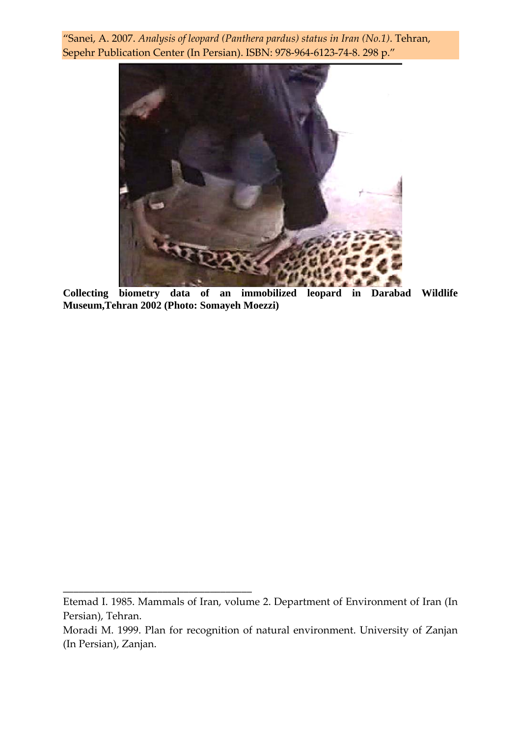

**Collecting biometry data of an immobilized leopard in Darabad Wildlife Museum,Tehran 2002 (Photo: Somayeh Moezzi)** 

**\_\_\_\_\_\_\_\_\_\_\_\_\_\_\_\_\_\_\_\_\_\_\_\_\_\_\_\_\_\_\_\_\_\_\_\_**

Etemad I. 1985. Mammals of Iran, volume 2. Department of Environment of Iran (In Persian), Tehran.

Moradi M. 1999. Plan for recognition of natural environment. University of Zanjan (In Persian), Zanjan.